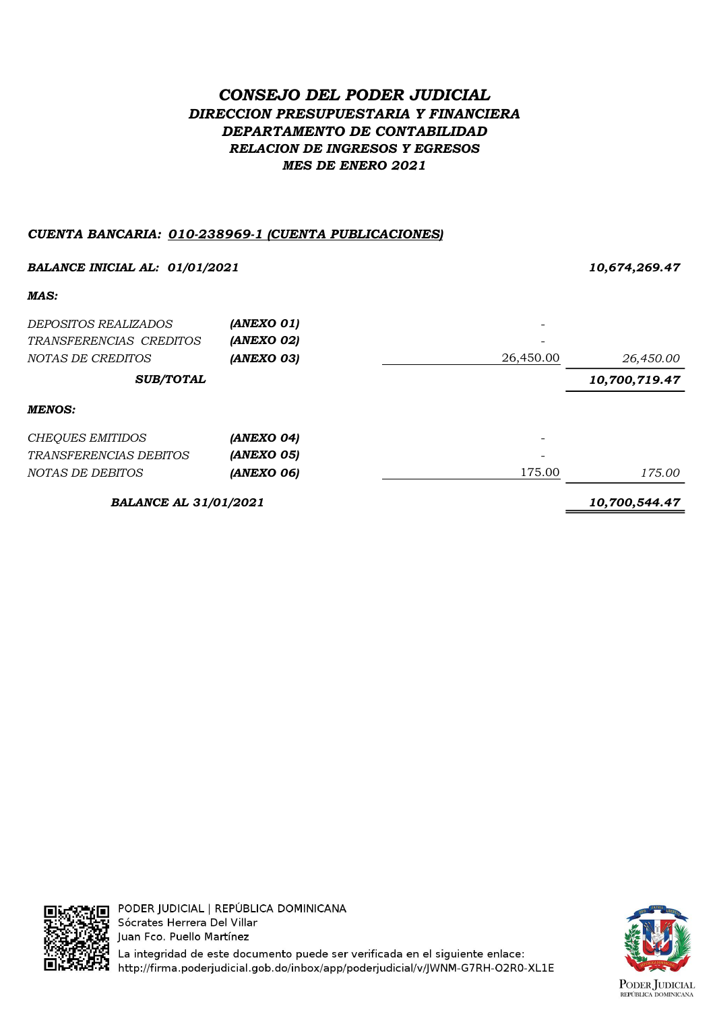## CONSEJO DEL PODER JUDICIAL DIRECCION PRESUPUESTARIA Y FINANCIERA DEPARTAMENTO DE CONTABILIDAD RELACION DE INGRESOS Y EGRESOS MES DE ENERO 2021

## CUENTA BANCARIA: 010-238969-1 (CUENTA PUBLICACIONES)

| <b>BALANCE INICIAL AL: 01/01/2021</b> |               |           | 10,674,269.47 |  |
|---------------------------------------|---------------|-----------|---------------|--|
| MAS:                                  |               |           |               |  |
| <i>DEPOSITOS REALIZADOS</i>           | (ANEXO 01)    |           |               |  |
| TRANSFERENCIAS CREDITOS               | (ANEXO 02)    |           |               |  |
| NOTAS DE CREDITOS                     | (ANEXO 03)    | 26,450.00 | 26,450.00     |  |
| <b>SUB/TOTAL</b>                      |               |           | 10,700,719.47 |  |
| <b>MENOS:</b>                         |               |           |               |  |
| <b>CHEQUES EMITIDOS</b>               | (ANEXO 04)    |           |               |  |
| <i>TRANSFERENCIAS DEBITOS</i>         | (ANEXO 05)    |           |               |  |
| NOTAS DE DEBITOS                      | (ANEXO 06)    | 175.00    | 175.00        |  |
| <b>BALANCE AL 31/01/2021</b>          | 10,700,544.47 |           |               |  |



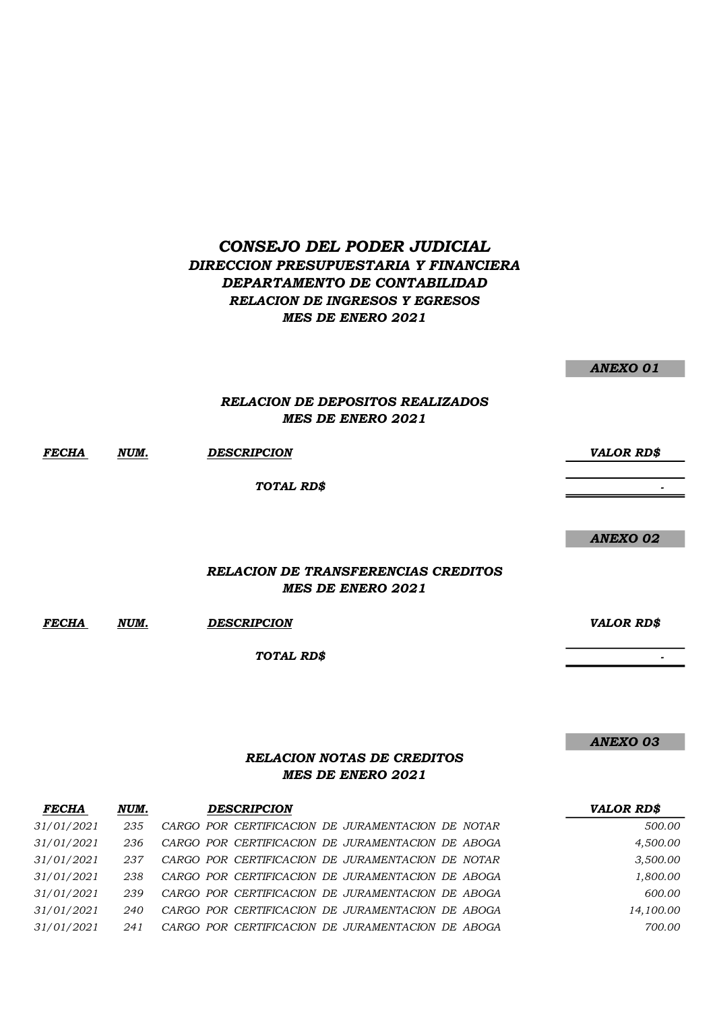## CONSEJO DEL PODER JUDICIAL DIRECCION PRESUPUESTARIA Y FINANCIERA DEPARTAMENTO DE CONTABILIDAD RELACION DE INGRESOS Y EGRESOS MES DE ENERO 2021

FECHA NUM. DESCRIPCION VALOR RD\$ - 1990 - 1990 - 1990 - 1990 - 1990 - 1990 - 1990 - 1990 - 1990 - 1990 - 1990 - 1990 - 1990 - 1990 - 1990 - 19<br>1991 - 1990 - 1990 - 1990 - 1990 - 1990 - 1990 - 1990 - 1990 - 1990 - 1990 - 1990 - 1990 - 1990 - 1990 - 1990 ANEXO 02 TOTAL RD\$ RELACION DE DEPOSITOS REALIZADOS MES DE ENERO 2021 RELACION DE TRANSFERENCIAS CREDITOS MES DE ENERO 2021

ANEXO 01

- 1990 - 1990 - 1990 - 1990 - 1990 - 1990 - 1990 - 1990 - 1990 - 1990 - 1990 - 1990 - 1990 - 1990 - 1990 - 19<br>1991 - 1990 - 1990 - 1990 - 1990 - 1990 - 1990 - 1990 - 1990 - 1990 - 1990 - 1990 - 1990 - 1990 - 1990 - 1990

ANEXO 03

FECHA NUM. DESCRIPCION VALOR RD\$

TOTAL RD\$

## RELACION NOTAS DE CREDITOS MES DE ENERO 2021

| <b>FECHA</b> | NUM. | <b>DESCRIPCION</b>                                | <b>VALOR RD\$</b> |
|--------------|------|---------------------------------------------------|-------------------|
| 31/01/2021   | 235  | CARGO POR CERTIFICACION DE JURAMENTACION DE NOTAR | 500.00            |
| 31/01/2021   | 236  | CARGO POR CERTIFICACION DE JURAMENTACION DE ABOGA | 4,500.00          |
| 31/01/2021   | 237  | CARGO POR CERTIFICACION DE JURAMENTACION DE NOTAR | 3,500.00          |
| 31/01/2021   | 238  | CARGO POR CERTIFICACION DE JURAMENTACION DE ABOGA | 1,800.00          |
| 31/01/2021   | 239  | CARGO POR CERTIFICACION DE JURAMENTACION DE ABOGA | 600.00            |
| 31/01/2021   | 240  | CARGO POR CERTIFICACION DE JURAMENTACION DE ABOGA | 14,100.00         |
| 31/01/2021   | 241  | CARGO POR CERTIFICACION DE JURAMENTACION DE ABOGA | 700.00            |